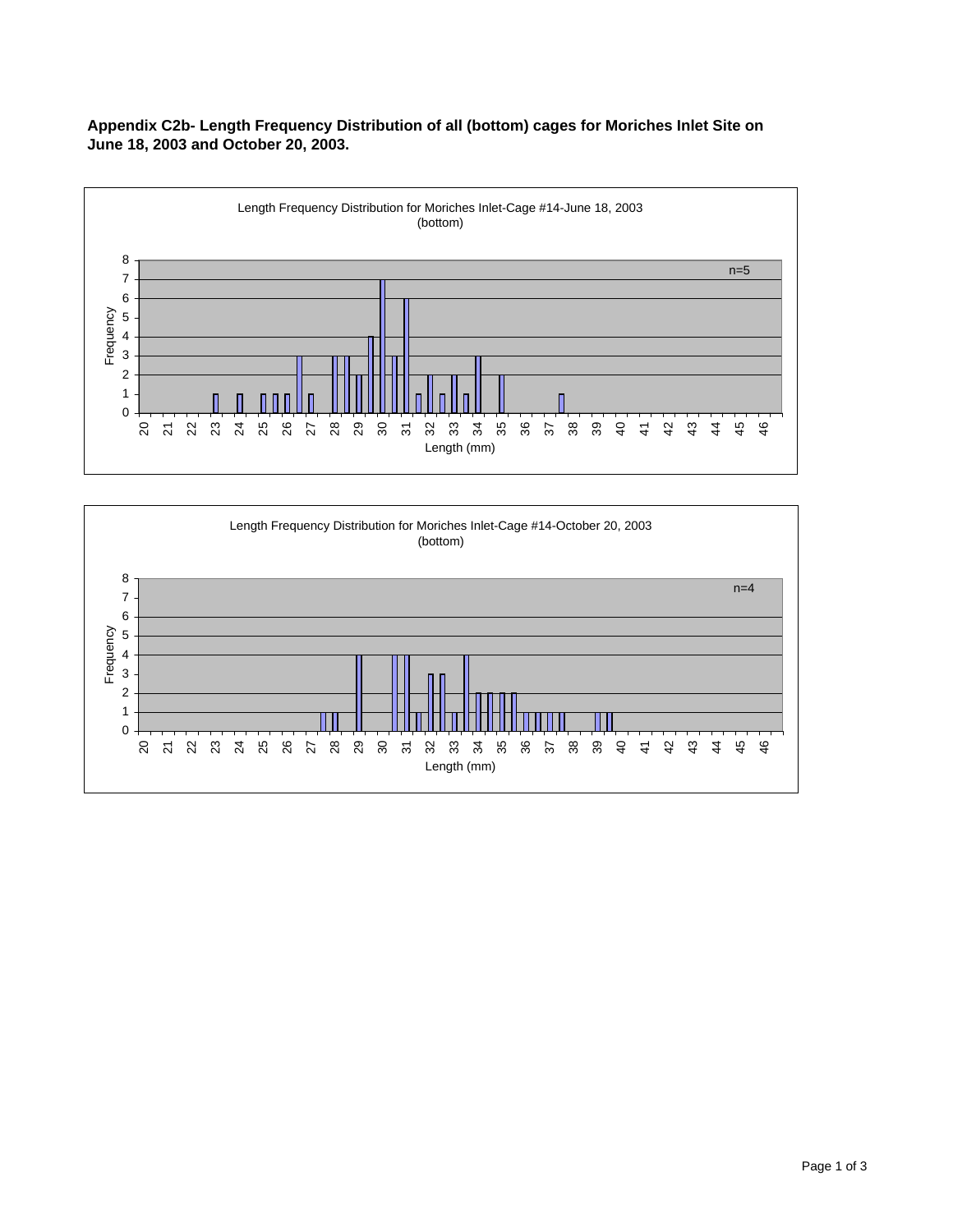**Appendix C2b- Length Frequency Distribution of all (bottom) cages for Moriches Inlet Site on June 18, 2003 and October 20, 2003.**



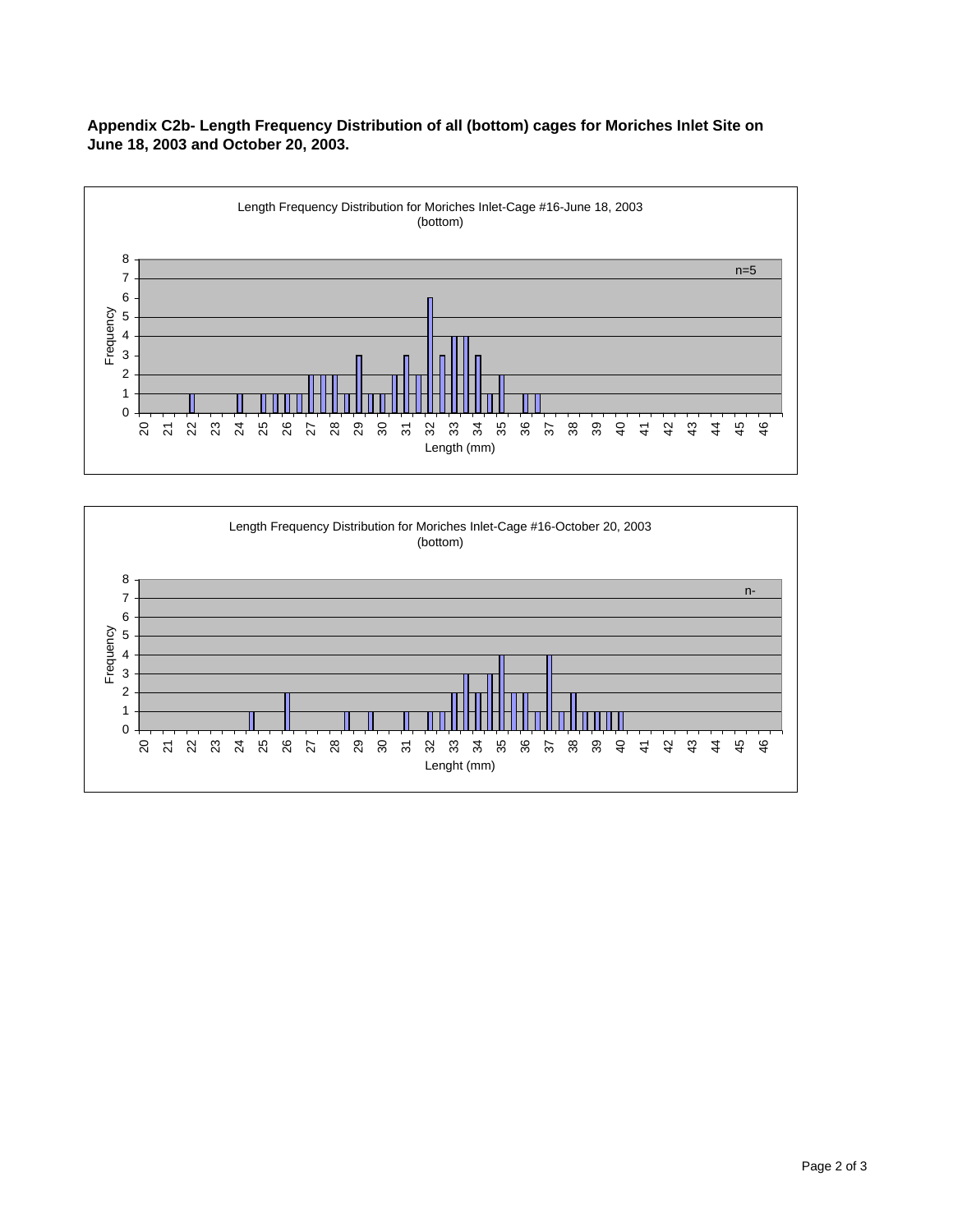**Appendix C2b- Length Frequency Distribution of all (bottom) cages for Moriches Inlet Site on June 18, 2003 and October 20, 2003.**